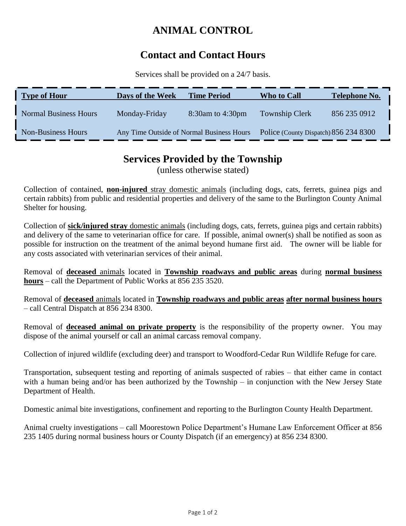# **ANIMAL CONTROL**

## **Contact and Contact Hours**

Services shall be provided on a 24/7 basis.

| <b>Type of Hour</b>          | Days of the Week                          | <b>Time Period</b> | Who to Call                           | <b>Telephone No.</b> |
|------------------------------|-------------------------------------------|--------------------|---------------------------------------|----------------------|
| <b>Normal Business Hours</b> | Monday-Friday                             | 8:30am to 4:30pm   | <b>Township Clerk</b>                 | 856 235 0912         |
| <b>Non-Business Hours</b>    | Any Time Outside of Normal Business Hours |                    | Police (County Dispatch) 856 234 8300 |                      |

### **Services Provided by the Township**

(unless otherwise stated)

Collection of contained, **non-injured** stray domestic animals (including dogs, cats, ferrets, guinea pigs and certain rabbits) from public and residential properties and delivery of the same to the Burlington County Animal Shelter for housing.

Collection of **sick/injured stray** domestic animals (including dogs, cats, ferrets, guinea pigs and certain rabbits) and delivery of the same to veterinarian office for care. If possible, animal owner(s) shall be notified as soon as possible for instruction on the treatment of the animal beyond humane first aid. The owner will be liable for any costs associated with veterinarian services of their animal.

Removal of **deceased** animals located in **Township roadways and public areas** during **normal business hours** – call the Department of Public Works at 856 235 3520.

Removal of **deceased** animals located in **Township roadways and public areas after normal business hours** – call Central Dispatch at 856 234 8300.

Removal of **deceased animal on private property** is the responsibility of the property owner. You may dispose of the animal yourself or call an animal carcass removal company.

Collection of injured wildlife (excluding deer) and transport to Woodford-Cedar Run Wildlife Refuge for care.

Transportation, subsequent testing and reporting of animals suspected of rabies – that either came in contact with a human being and/or has been authorized by the Township – in conjunction with the New Jersey State Department of Health.

Domestic animal bite investigations, confinement and reporting to the Burlington County Health Department.

Animal cruelty investigations – call Moorestown Police Department's Humane Law Enforcement Officer at 856 235 1405 during normal business hours or County Dispatch (if an emergency) at 856 234 8300.